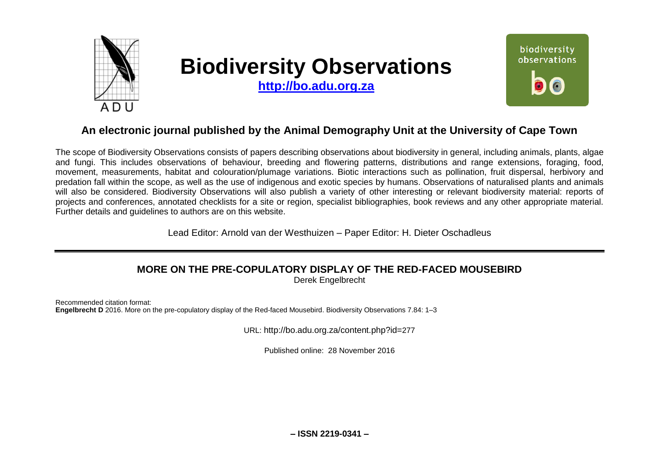

# **Biodiversity Observations**

**[http://bo.adu.org.za](http://bo.adu.org.za/)**



## **An electronic journal published by the Animal Demography Unit at the University of Cape Town**

The scope of Biodiversity Observations consists of papers describing observations about biodiversity in general, including animals, plants, algae and fungi. This includes observations of behaviour, breeding and flowering patterns, distributions and range extensions, foraging, food, movement, measurements, habitat and colouration/plumage variations. Biotic interactions such as pollination, fruit dispersal, herbivory and predation fall within the scope, as well as the use of indigenous and exotic species by humans. Observations of naturalised plants and animals will also be considered. Biodiversity Observations will also publish a variety of other interesting or relevant biodiversity material: reports of projects and conferences, annotated checklists for a site or region, specialist bibliographies, book reviews and any other appropriate material. Further details and guidelines to authors are on this website.

Lead Editor: Arnold van der Westhuizen – Paper Editor: H. Dieter Oschadleus

# **MORE ON THE PRE-COPULATORY DISPLAY OF THE RED-FACED MOUSEBIRD**

Derek Engelbrecht

Recommended citation format: **Engelbrecht D** 2016. More on the pre-copulatory display of the Red-faced Mousebird. Biodiversity Observations 7.84: 1–3

URL: http://bo.adu.org.za/content.php?id=277

Published online: 28 November 2016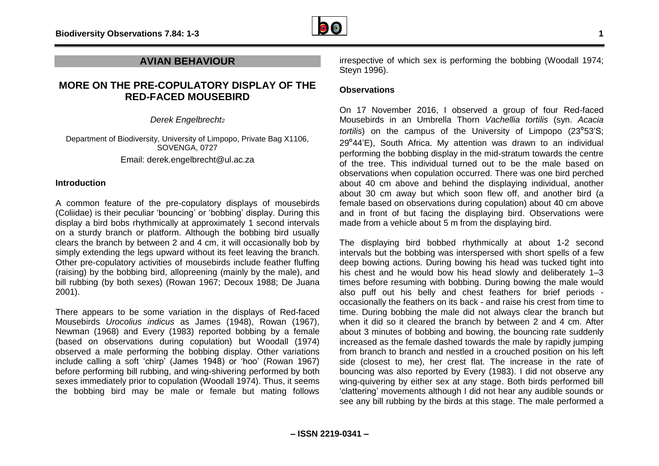

## **AVIAN BEHAVIOUR**

## **MORE ON THE PRE-COPULATORY DISPLAY OF THE RED-FACED MOUSEBIRD**

*Derek Engelbrecht<sup>2</sup>*

Department of Biodiversity, University of Limpopo, Private Bag X1106, SOVENGA, 0727 Email: derek.engelbrecht@ul.ac.za

### **Introduction**

A common feature of the pre-copulatory displays of mousebirds (Coliidae) is their peculiar 'bouncing' or 'bobbing' display. During this display a bird bobs rhythmically at approximately 1 second intervals on a sturdy branch or platform. Although the bobbing bird usually clears the branch by between 2 and 4 cm, it will occasionally bob by simply extending the legs upward without its feet leaving the branch. Other pre-copulatory activities of mousebirds include feather fluffing (raising) by the bobbing bird, allopreening (mainly by the male), and bill rubbing (by both sexes) (Rowan 1967; Decoux 1988; De Juana 2001).

There appears to be some variation in the displays of Red-faced Mousebirds *Urocolius indicus* as James (1948), Rowan (1967), Newman (1968) and Every (1983) reported bobbing by a female (based on observations during copulation) but Woodall (1974) observed a male performing the bobbing display. Other variations include calling a soft 'chirp' (James 1948) or 'hoo' (Rowan 1967) before performing bill rubbing, and wing-shivering performed by both sexes immediately prior to copulation (Woodall 1974). Thus, it seems the bobbing bird may be male or female but mating follows irrespective of which sex is performing the bobbing (Woodall 1974; Steyn 1996).

## **Observations**

On 17 November 2016, I observed a group of four Red-faced Mousebirds in an Umbrella Thorn *Vachellia tortilis* (syn. *Acacia tortilis*) on the campus of the University of Limpopo (23°53'S; 29°44'E), South Africa. My attention was drawn to an individual performing the bobbing display in the mid-stratum towards the centre of the tree. This individual turned out to be the male based on observations when copulation occurred. There was one bird perched about 40 cm above and behind the displaying individual, another about 30 cm away but which soon flew off, and another bird (a female based on observations during copulation) about 40 cm above and in front of but facing the displaying bird. Observations were made from a vehicle about 5 m from the displaying bird.

The displaying bird bobbed rhythmically at about 1-2 second intervals but the bobbing was interspersed with short spells of a few deep bowing actions. During bowing his head was tucked tight into his chest and he would bow his head slowly and deliberately 1-3 times before resuming with bobbing. During bowing the male would also puff out his belly and chest feathers for brief periods occasionally the feathers on its back - and raise his crest from time to time. During bobbing the male did not always clear the branch but when it did so it cleared the branch by between 2 and 4 cm. After about 3 minutes of bobbing and bowing, the bouncing rate suddenly increased as the female dashed towards the male by rapidly jumping from branch to branch and nestled in a crouched position on his left side (closest to me), her crest flat. The increase in the rate of bouncing was also reported by Every (1983). I did not observe any wing-quivering by either sex at any stage. Both birds performed bill 'clattering' movements although I did not hear any audible sounds or see any bill rubbing by the birds at this stage. The male performed a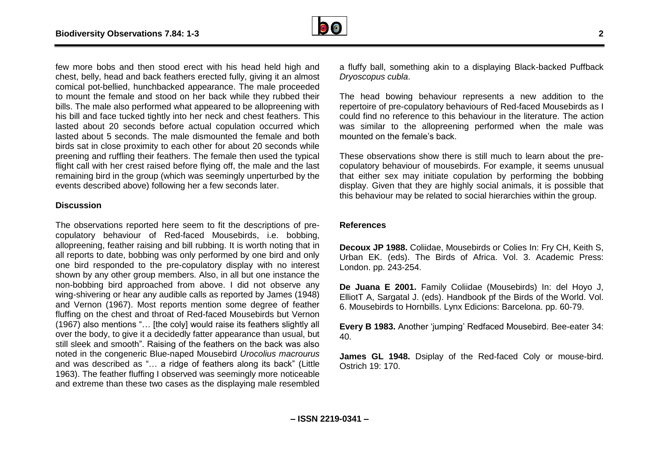

few more bobs and then stood erect with his head held high and chest, belly, head and back feathers erected fully, giving it an almost comical pot-bellied, hunchbacked appearance. The male proceeded to mount the female and stood on her back while they rubbed their bills. The male also performed what appeared to be allopreening with his bill and face tucked tightly into her neck and chest feathers. This lasted about 20 seconds before actual copulation occurred which lasted about 5 seconds. The male dismounted the female and both birds sat in close proximity to each other for about 20 seconds while preening and ruffling their feathers. The female then used the typical flight call with her crest raised before flying off, the male and the last remaining bird in the group (which was seemingly unperturbed by the events described above) following her a few seconds later.

### **Discussion**

The observations reported here seem to fit the descriptions of precopulatory behaviour of Red-faced Mousebirds, i.e. bobbing, allopreening, feather raising and bill rubbing. It is worth noting that in all reports to date, bobbing was only performed by one bird and only one bird responded to the pre-copulatory display with no interest shown by any other group members. Also, in all but one instance the non-bobbing bird approached from above. I did not observe any wing-shivering or hear any audible calls as reported by James (1948) and Vernon (1967). Most reports mention some degree of feather fluffing on the chest and throat of Red-faced Mousebirds but Vernon (1967) also mentions "… [the coly] would raise its feathers slightly all over the body, to give it a decidedly fatter appearance than usual, but still sleek and smooth". Raising of the feathers on the back was also noted in the congeneric Blue-naped Mousebird *Urocolius macrourus* and was described as "… a ridge of feathers along its back" (Little 1963). The feather fluffing I observed was seemingly more noticeable and extreme than these two cases as the displaying male resembled

a fluffy ball, something akin to a displaying Black-backed Puffback *Dryoscopus cubla*.

The head bowing behaviour represents a new addition to the repertoire of pre-copulatory behaviours of Red-faced Mousebirds as I could find no reference to this behaviour in the literature. The action was similar to the allopreening performed when the male was mounted on the female's back.

These observations show there is still much to learn about the precopulatory behaviour of mousebirds. For example, it seems unusual that either sex may initiate copulation by performing the bobbing display. Given that they are highly social animals, it is possible that this behaviour may be related to social hierarchies within the group.

## **References**

**Decoux JP 1988.** Coliidae, Mousebirds or Colies In: Fry CH, Keith S, Urban EK. (eds). The Birds of Africa. Vol. 3. Academic Press: London. pp. 243-254.

**De Juana E 2001.** Family Coliidae (Mousebirds) In: del Hoyo J, ElliotT A, Sargatal J. (eds). Handbook pf the Birds of the World. Vol. 6. Mousebirds to Hornbills. Lynx Edicions: Barcelona. pp. 60-79.

**Every B 1983.** Another 'jumping' Redfaced Mousebird. Bee-eater 34: 40.

**James GL 1948.** Dsiplay of the Red-faced Coly or mouse-bird. Ostrich 19: 170.